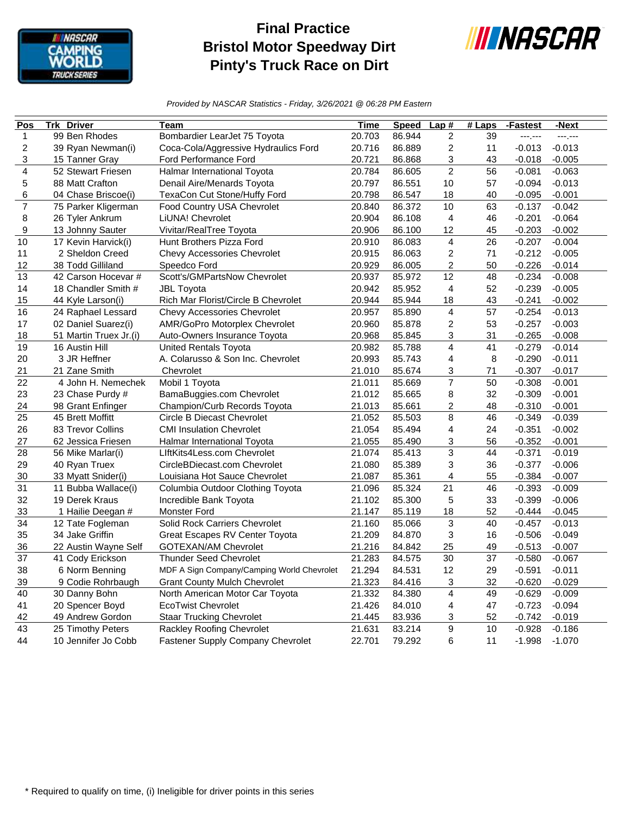

## **Final Practice Bristol Motor Speedway Dirt Pinty's Truck Race on Dirt**



*Provided by NASCAR Statistics - Friday, 3/26/2021 @ 06:28 PM Eastern*

| Pos                     | <b>Trk Driver</b>      | Team                                       | <b>Time</b> | <b>Speed</b> | Lap#                    | $#$ Laps | -Fastest | -Next    |
|-------------------------|------------------------|--------------------------------------------|-------------|--------------|-------------------------|----------|----------|----------|
| 1                       | 99 Ben Rhodes          | Bombardier LearJet 75 Toyota               | 20.703      | 86.944       | $\overline{c}$          | 39       | ---,---  | ---.---  |
| $\overline{\mathbf{c}}$ | 39 Ryan Newman(i)      | Coca-Cola/Aggressive Hydraulics Ford       | 20.716      | 86.889       | $\overline{c}$          | 11       | $-0.013$ | $-0.013$ |
| 3                       | 15 Tanner Gray         | Ford Performance Ford                      | 20.721      | 86.868       | 3                       | 43       | $-0.018$ | $-0.005$ |
| 4                       | 52 Stewart Friesen     | Halmar International Toyota                | 20.784      | 86.605       | $\overline{2}$          | 56       | $-0.081$ | $-0.063$ |
| 5                       | 88 Matt Crafton        | Denail Aire/Menards Toyota                 | 20.797      | 86.551       | 10                      | 57       | $-0.094$ | $-0.013$ |
| 6                       | 04 Chase Briscoe(i)    | TexaCon Cut Stone/Huffy Ford               | 20.798      | 86.547       | 18                      | 40       | $-0.095$ | $-0.001$ |
| $\overline{7}$          | 75 Parker Kligerman    | Food Country USA Chevrolet                 | 20.840      | 86.372       | 10                      | 63       | $-0.137$ | $-0.042$ |
| 8                       | 26 Tyler Ankrum        | LiUNA! Chevrolet                           | 20.904      | 86.108       | 4                       | 46       | $-0.201$ | $-0.064$ |
| 9                       | 13 Johnny Sauter       | Vivitar/RealTree Toyota                    | 20.906      | 86.100       | 12                      | 45       | $-0.203$ | $-0.002$ |
| 10                      | 17 Kevin Harvick(i)    | Hunt Brothers Pizza Ford                   | 20.910      | 86.083       | 4                       | 26       | $-0.207$ | $-0.004$ |
| 11                      | 2 Sheldon Creed        | Chevy Accessories Chevrolet                | 20.915      | 86.063       | 2                       | 71       | $-0.212$ | $-0.005$ |
| 12                      | 38 Todd Gilliland      | Speedco Ford                               | 20.929      | 86.005       | $\overline{\mathbf{c}}$ | 50       | $-0.226$ | $-0.014$ |
| 13                      | 42 Carson Hocevar #    | Scott's/GMPartsNow Chevrolet               | 20.937      | 85.972       | 12                      | 48       | $-0.234$ | $-0.008$ |
| 14                      | 18 Chandler Smith #    | <b>JBL Toyota</b>                          | 20.942      | 85.952       | 4                       | 52       | $-0.239$ | $-0.005$ |
| 15                      | 44 Kyle Larson(i)      | Rich Mar Florist/Circle B Chevrolet        | 20.944      | 85.944       | 18                      | 43       | $-0.241$ | $-0.002$ |
| 16                      | 24 Raphael Lessard     | <b>Chevy Accessories Chevrolet</b>         | 20.957      | 85.890       | 4                       | 57       | $-0.254$ | $-0.013$ |
| 17                      | 02 Daniel Suarez(i)    | AMR/GoPro Motorplex Chevrolet              | 20.960      | 85.878       | 2                       | 53       | $-0.257$ | $-0.003$ |
| 18                      | 51 Martin Truex Jr.(i) | Auto-Owners Insurance Toyota               | 20.968      | 85.845       | 3                       | 31       | $-0.265$ | $-0.008$ |
| 19                      | 16 Austin Hill         | <b>United Rentals Toyota</b>               | 20.982      | 85.788       | $\overline{4}$          | 41       | $-0.279$ | $-0.014$ |
| 20                      | 3 JR Heffner           | A. Colarusso & Son Inc. Chevrolet          | 20.993      | 85.743       | 4                       | 8        | $-0.290$ | $-0.011$ |
| 21                      | 21 Zane Smith          | Chevrolet                                  | 21.010      | 85.674       | 3                       | 71       | $-0.307$ | $-0.017$ |
| 22                      | 4 John H. Nemechek     | Mobil 1 Toyota                             | 21.011      | 85.669       | $\overline{7}$          | 50       | $-0.308$ | $-0.001$ |
| 23                      | 23 Chase Purdy #       | BamaBuggies.com Chevrolet                  | 21.012      | 85.665       | 8                       | 32       | $-0.309$ | $-0.001$ |
| 24                      | 98 Grant Enfinger      | Champion/Curb Records Toyota               | 21.013      | 85.661       | $\overline{c}$          | 48       | $-0.310$ | $-0.001$ |
| 25                      | 45 Brett Moffitt       | Circle B Diecast Chevrolet                 | 21.052      | 85.503       | 8                       | 46       | $-0.349$ | $-0.039$ |
| 26                      | 83 Trevor Collins      | <b>CMI Insulation Chevrolet</b>            | 21.054      | 85.494       | 4                       | 24       | $-0.351$ | $-0.002$ |
| 27                      | 62 Jessica Friesen     | Halmar International Toyota                | 21.055      | 85.490       | 3                       | 56       | $-0.352$ | $-0.001$ |
| 28                      | 56 Mike Marlar(i)      | LiftKits4Less.com Chevrolet                | 21.074      | 85.413       | 3                       | 44       | $-0.371$ | $-0.019$ |
| 29                      | 40 Ryan Truex          | CircleBDiecast.com Chevrolet               | 21.080      | 85.389       | 3                       | 36       | $-0.377$ | $-0.006$ |
| 30                      | 33 Myatt Snider(i)     | Louisiana Hot Sauce Chevrolet              | 21.087      | 85.361       | 4                       | 55       | $-0.384$ | $-0.007$ |
| 31                      | 11 Bubba Wallace(i)    | Columbia Outdoor Clothing Toyota           | 21.096      | 85.324       | 21                      | 46       | $-0.393$ | $-0.009$ |
| 32                      | 19 Derek Kraus         | Incredible Bank Toyota                     | 21.102      | 85.300       | 5                       | 33       | $-0.399$ | $-0.006$ |
| 33                      | 1 Hailie Deegan #      | <b>Monster Ford</b>                        | 21.147      | 85.119       | 18                      | 52       | $-0.444$ | $-0.045$ |
| 34                      | 12 Tate Fogleman       | Solid Rock Carriers Chevrolet              | 21.160      | 85.066       | 3                       | 40       | $-0.457$ | $-0.013$ |
| 35                      | 34 Jake Griffin        | Great Escapes RV Center Toyota             | 21.209      | 84.870       | 3                       | 16       | $-0.506$ | $-0.049$ |
| 36                      | 22 Austin Wayne Self   | <b>GOTEXAN/AM Chevrolet</b>                | 21.216      | 84.842       | 25                      | 49       | $-0.513$ | $-0.007$ |
| 37                      | 41 Cody Erickson       | <b>Thunder Seed Chevrolet</b>              | 21.283      | 84.575       | 30                      | 37       | $-0.580$ | $-0.067$ |
| 38                      | 6 Norm Benning         | MDF A Sign Company/Camping World Chevrolet | 21.294      | 84.531       | 12                      | 29       | $-0.591$ | $-0.011$ |
| 39                      | 9 Codie Rohrbaugh      | <b>Grant County Mulch Chevrolet</b>        | 21.323      | 84.416       | 3                       | 32       | $-0.620$ | $-0.029$ |
| 40                      | 30 Danny Bohn          | North American Motor Car Toyota            | 21.332      | 84.380       | $\overline{\mathbf{4}}$ | 49       | $-0.629$ | $-0.009$ |
| 41                      | 20 Spencer Boyd        | <b>EcoTwist Chevrolet</b>                  | 21.426      | 84.010       | 4                       | 47       | $-0.723$ | $-0.094$ |
| 42                      | 49 Andrew Gordon       | <b>Staar Trucking Chevrolet</b>            | 21.445      | 83.936       | 3                       | 52       | $-0.742$ | $-0.019$ |
| 43                      | 25 Timothy Peters      | Rackley Roofing Chevrolet                  | 21.631      | 83.214       | 9                       | 10       | $-0.928$ | $-0.186$ |
| 44                      | 10 Jennifer Jo Cobb    | Fastener Supply Company Chevrolet          | 22.701      | 79.292       | 6                       | 11       | $-1.998$ | $-1.070$ |